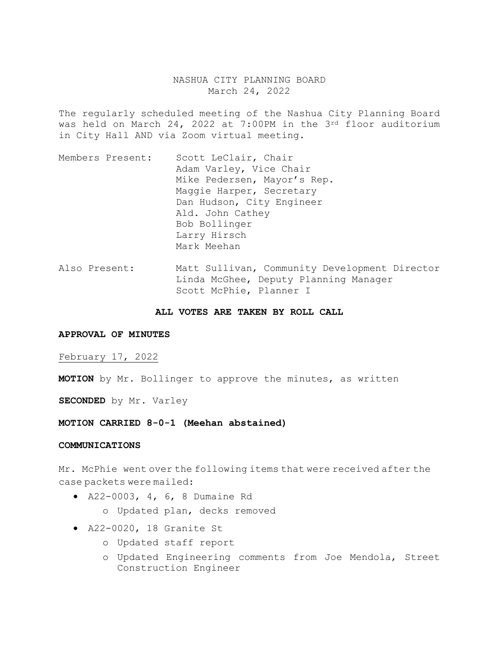# NASHUA CITY PLANNING BOARD March 24, 2022

The regularly scheduled meeting of the Nashua City Planning Board was held on March 24, 2022 at 7:00PM in the 3rd floor auditorium in City Hall AND via Zoom virtual meeting.

- Members Present: Scott LeClair, Chair Adam Varley, Vice Chair Mike Pedersen, Mayor's Rep. Maggie Harper, Secretary Dan Hudson, City Engineer Ald. John Cathey Bob Bollinger Larry Hirsch Mark Meehan
- Also Present: Matt Sullivan, Community Development Director Linda McGhee, Deputy Planning Manager Scott McPhie, Planner I

#### **ALL VOTES ARE TAKEN BY ROLL CALL**

#### **APPROVAL OF MINUTES**

February 17, 2022

**MOTION** by Mr. Bollinger to approve the minutes, as written

**SECONDED** by Mr. Varley

**MOTION CARRIED 8-0-1 (Meehan abstained)** 

### **COMMUNICATIONS**

Mr. McPhie went over the following items that were received after the case packets were mailed:

- A22-0003, 4, 6, 8 Dumaine Rd
	- o Updated plan, decks removed
- A22-0020, 18 Granite St
	- o Updated staff report
	- o Updated Engineering comments from Joe Mendola, Street Construction Engineer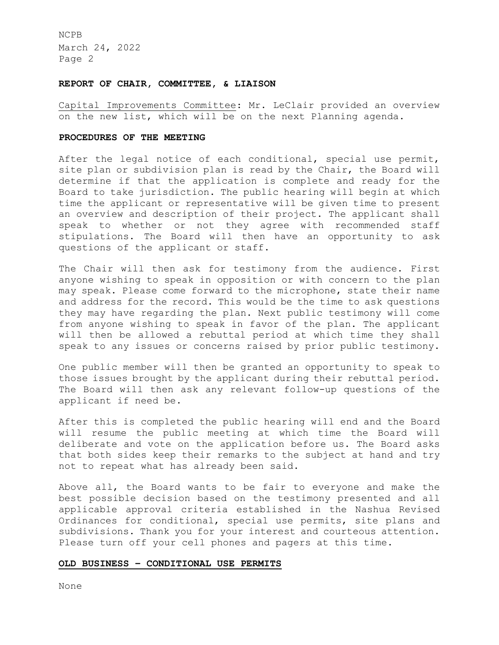#### **REPORT OF CHAIR, COMMITTEE, & LIAISON**

Capital Improvements Committee: Mr. LeClair provided an overview on the new list, which will be on the next Planning agenda.

#### **PROCEDURES OF THE MEETING**

After the legal notice of each conditional, special use permit, site plan or subdivision plan is read by the Chair, the Board will determine if that the application is complete and ready for the Board to take jurisdiction. The public hearing will begin at which time the applicant or representative will be given time to present an overview and description of their project. The applicant shall speak to whether or not they agree with recommended staff stipulations. The Board will then have an opportunity to ask questions of the applicant or staff.

The Chair will then ask for testimony from the audience. First anyone wishing to speak in opposition or with concern to the plan may speak. Please come forward to the microphone, state their name and address for the record. This would be the time to ask questions they may have regarding the plan. Next public testimony will come from anyone wishing to speak in favor of the plan. The applicant will then be allowed a rebuttal period at which time they shall speak to any issues or concerns raised by prior public testimony.

One public member will then be granted an opportunity to speak to those issues brought by the applicant during their rebuttal period. The Board will then ask any relevant follow-up questions of the applicant if need be.

After this is completed the public hearing will end and the Board will resume the public meeting at which time the Board will deliberate and vote on the application before us. The Board asks that both sides keep their remarks to the subject at hand and try not to repeat what has already been said.

Above all, the Board wants to be fair to everyone and make the best possible decision based on the testimony presented and all applicable approval criteria established in the Nashua Revised Ordinances for conditional, special use permits, site plans and subdivisions. Thank you for your interest and courteous attention. Please turn off your cell phones and pagers at this time.

## **OLD BUSINESS – CONDITIONAL USE PERMITS**

None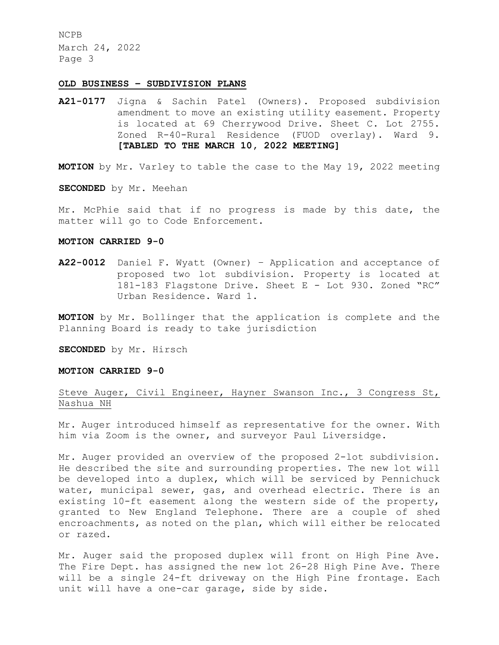#### **OLD BUSINESS – SUBDIVISION PLANS**

**A21-0177** Jigna & Sachin Patel (Owners). Proposed subdivision amendment to move an existing utility easement. Property is located at 69 Cherrywood Drive. Sheet C. Lot 2755. Zoned R-40-Rural Residence (FUOD overlay). Ward 9. **[TABLED TO THE MARCH 10, 2022 MEETING]** 

**MOTION** by Mr. Varley to table the case to the May 19, 2022 meeting

**SECONDED** by Mr. Meehan

Mr. McPhie said that if no progress is made by this date, the matter will go to Code Enforcement.

## **MOTION CARRIED 9-0**

**A22-0012** Daniel F. Wyatt (Owner) – Application and acceptance of proposed two lot subdivision. Property is located at 181-183 Flagstone Drive. Sheet E - Lot 930. Zoned "RC" Urban Residence. Ward 1.

**MOTION** by Mr. Bollinger that the application is complete and the Planning Board is ready to take jurisdiction

**SECONDED** by Mr. Hirsch

#### **MOTION CARRIED 9-0**

# Steve Auger, Civil Engineer, Hayner Swanson Inc., 3 Congress St, Nashua NH

Mr. Auger introduced himself as representative for the owner. With him via Zoom is the owner, and surveyor Paul Liversidge.

Mr. Auger provided an overview of the proposed 2-lot subdivision. He described the site and surrounding properties. The new lot will be developed into a duplex, which will be serviced by Pennichuck water, municipal sewer, gas, and overhead electric. There is an existing 10-ft easement along the western side of the property, granted to New England Telephone. There are a couple of shed encroachments, as noted on the plan, which will either be relocated or razed.

Mr. Auger said the proposed duplex will front on High Pine Ave. The Fire Dept. has assigned the new lot 26-28 High Pine Ave. There will be a single 24-ft driveway on the High Pine frontage. Each unit will have a one-car garage, side by side.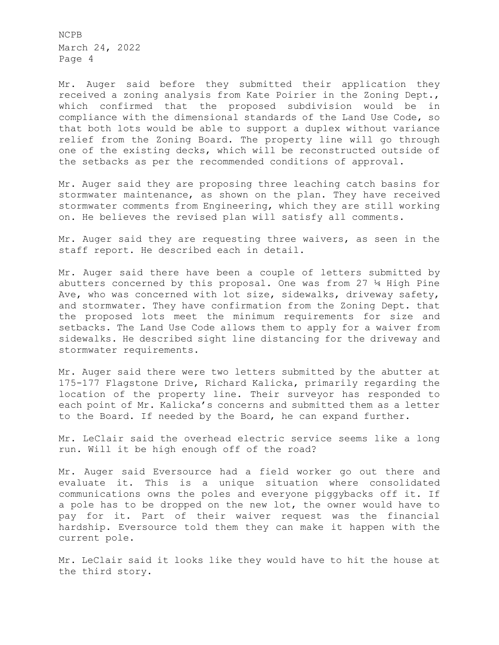Mr. Auger said before they submitted their application they received a zoning analysis from Kate Poirier in the Zoning Dept., which confirmed that the proposed subdivision would be in compliance with the dimensional standards of the Land Use Code, so that both lots would be able to support a duplex without variance relief from the Zoning Board. The property line will go through one of the existing decks, which will be reconstructed outside of the setbacks as per the recommended conditions of approval.

Mr. Auger said they are proposing three leaching catch basins for stormwater maintenance, as shown on the plan. They have received stormwater comments from Engineering, which they are still working on. He believes the revised plan will satisfy all comments.

Mr. Auger said they are requesting three waivers, as seen in the staff report. He described each in detail.

Mr. Auger said there have been a couple of letters submitted by abutters concerned by this proposal. One was from 27 ¼ High Pine Ave, who was concerned with lot size, sidewalks, driveway safety, and stormwater. They have confirmation from the Zoning Dept. that the proposed lots meet the minimum requirements for size and setbacks. The Land Use Code allows them to apply for a waiver from sidewalks. He described sight line distancing for the driveway and stormwater requirements.

Mr. Auger said there were two letters submitted by the abutter at 175-177 Flagstone Drive, Richard Kalicka, primarily regarding the location of the property line. Their surveyor has responded to each point of Mr. Kalicka's concerns and submitted them as a letter to the Board. If needed by the Board, he can expand further.

Mr. LeClair said the overhead electric service seems like a long run. Will it be high enough off of the road?

Mr. Auger said Eversource had a field worker go out there and evaluate it. This is a unique situation where consolidated communications owns the poles and everyone piggybacks off it. If a pole has to be dropped on the new lot, the owner would have to pay for it. Part of their waiver request was the financial hardship. Eversource told them they can make it happen with the current pole.

Mr. LeClair said it looks like they would have to hit the house at the third story.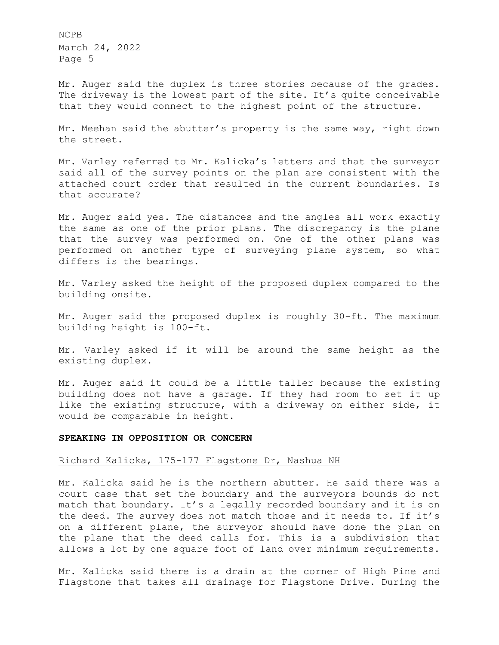Mr. Auger said the duplex is three stories because of the grades. The driveway is the lowest part of the site. It's quite conceivable that they would connect to the highest point of the structure.

Mr. Meehan said the abutter's property is the same way, right down the street.

Mr. Varley referred to Mr. Kalicka's letters and that the surveyor said all of the survey points on the plan are consistent with the attached court order that resulted in the current boundaries. Is that accurate?

Mr. Auger said yes. The distances and the angles all work exactly the same as one of the prior plans. The discrepancy is the plane that the survey was performed on. One of the other plans was performed on another type of surveying plane system, so what differs is the bearings.

Mr. Varley asked the height of the proposed duplex compared to the building onsite.

Mr. Auger said the proposed duplex is roughly 30-ft. The maximum building height is 100-ft.

Mr. Varley asked if it will be around the same height as the existing duplex.

Mr. Auger said it could be a little taller because the existing building does not have a garage. If they had room to set it up like the existing structure, with a driveway on either side, it would be comparable in height.

#### **SPEAKING IN OPPOSITION OR CONCERN**

### Richard Kalicka, 175-177 Flagstone Dr, Nashua NH

Mr. Kalicka said he is the northern abutter. He said there was a court case that set the boundary and the surveyors bounds do not match that boundary. It's a legally recorded boundary and it is on the deed. The survey does not match those and it needs to. If it's on a different plane, the surveyor should have done the plan on the plane that the deed calls for. This is a subdivision that allows a lot by one square foot of land over minimum requirements.

Mr. Kalicka said there is a drain at the corner of High Pine and Flagstone that takes all drainage for Flagstone Drive. During the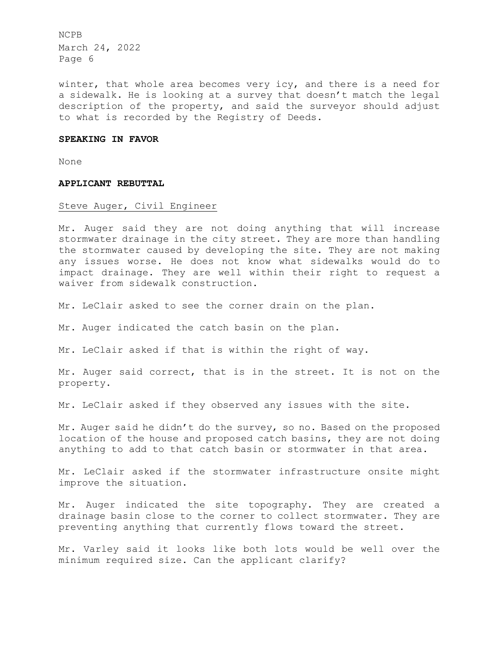winter, that whole area becomes very icy, and there is a need for a sidewalk. He is looking at a survey that doesn't match the legal description of the property, and said the surveyor should adjust to what is recorded by the Registry of Deeds.

### **SPEAKING IN FAVOR**

None

## **APPLICANT REBUTTAL**

## Steve Auger, Civil Engineer

Mr. Auger said they are not doing anything that will increase stormwater drainage in the city street. They are more than handling the stormwater caused by developing the site. They are not making any issues worse. He does not know what sidewalks would do to impact drainage. They are well within their right to request a waiver from sidewalk construction.

Mr. LeClair asked to see the corner drain on the plan.

Mr. Auger indicated the catch basin on the plan.

Mr. LeClair asked if that is within the right of way.

Mr. Auger said correct, that is in the street. It is not on the property.

Mr. LeClair asked if they observed any issues with the site.

Mr. Auger said he didn't do the survey, so no. Based on the proposed location of the house and proposed catch basins, they are not doing anything to add to that catch basin or stormwater in that area.

Mr. LeClair asked if the stormwater infrastructure onsite might improve the situation.

Mr. Auger indicated the site topography. They are created a drainage basin close to the corner to collect stormwater. They are preventing anything that currently flows toward the street.

Mr. Varley said it looks like both lots would be well over the minimum required size. Can the applicant clarify?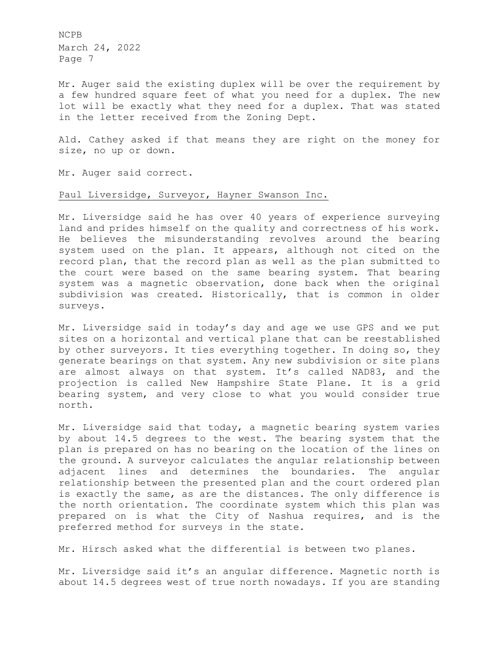Mr. Auger said the existing duplex will be over the requirement by a few hundred square feet of what you need for a duplex. The new lot will be exactly what they need for a duplex. That was stated in the letter received from the Zoning Dept.

Ald. Cathey asked if that means they are right on the money for size, no up or down.

Mr. Auger said correct.

#### Paul Liversidge, Surveyor, Hayner Swanson Inc.

Mr. Liversidge said he has over 40 years of experience surveying land and prides himself on the quality and correctness of his work. He believes the misunderstanding revolves around the bearing system used on the plan. It appears, although not cited on the record plan, that the record plan as well as the plan submitted to the court were based on the same bearing system. That bearing system was a magnetic observation, done back when the original subdivision was created. Historically, that is common in older surveys.

Mr. Liversidge said in today's day and age we use GPS and we put sites on a horizontal and vertical plane that can be reestablished by other surveyors. It ties everything together. In doing so, they generate bearings on that system. Any new subdivision or site plans are almost always on that system. It's called NAD83, and the projection is called New Hampshire State Plane. It is a grid bearing system, and very close to what you would consider true north.

Mr. Liversidge said that today, a magnetic bearing system varies by about 14.5 degrees to the west. The bearing system that the plan is prepared on has no bearing on the location of the lines on the ground. A surveyor calculates the angular relationship between adjacent lines and determines the boundaries. The angular relationship between the presented plan and the court ordered plan is exactly the same, as are the distances. The only difference is the north orientation. The coordinate system which this plan was prepared on is what the City of Nashua requires, and is the preferred method for surveys in the state.

Mr. Hirsch asked what the differential is between two planes.

Mr. Liversidge said it's an angular difference. Magnetic north is about 14.5 degrees west of true north nowadays. If you are standing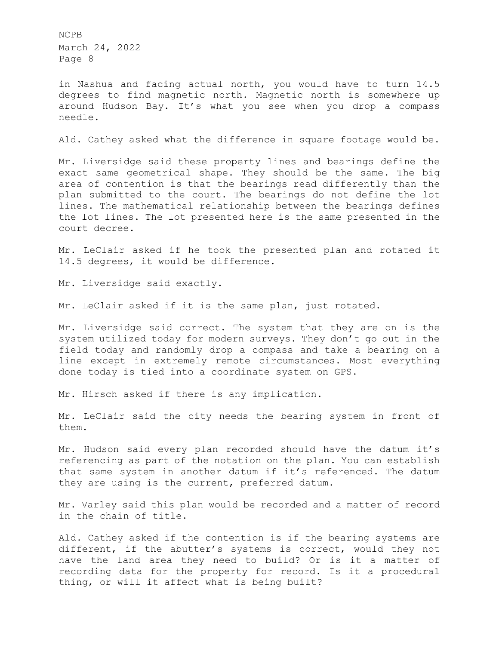in Nashua and facing actual north, you would have to turn 14.5 degrees to find magnetic north. Magnetic north is somewhere up around Hudson Bay. It's what you see when you drop a compass needle.

Ald. Cathey asked what the difference in square footage would be.

Mr. Liversidge said these property lines and bearings define the exact same geometrical shape. They should be the same. The big area of contention is that the bearings read differently than the plan submitted to the court. The bearings do not define the lot lines. The mathematical relationship between the bearings defines the lot lines. The lot presented here is the same presented in the court decree.

Mr. LeClair asked if he took the presented plan and rotated it 14.5 degrees, it would be difference.

Mr. Liversidge said exactly.

Mr. LeClair asked if it is the same plan, just rotated.

Mr. Liversidge said correct. The system that they are on is the system utilized today for modern surveys. They don't go out in the field today and randomly drop a compass and take a bearing on a line except in extremely remote circumstances. Most everything done today is tied into a coordinate system on GPS.

Mr. Hirsch asked if there is any implication.

Mr. LeClair said the city needs the bearing system in front of them.

Mr. Hudson said every plan recorded should have the datum it's referencing as part of the notation on the plan. You can establish that same system in another datum if it's referenced. The datum they are using is the current, preferred datum.

Mr. Varley said this plan would be recorded and a matter of record in the chain of title.

Ald. Cathey asked if the contention is if the bearing systems are different, if the abutter's systems is correct, would they not have the land area they need to build? Or is it a matter of recording data for the property for record. Is it a procedural thing, or will it affect what is being built?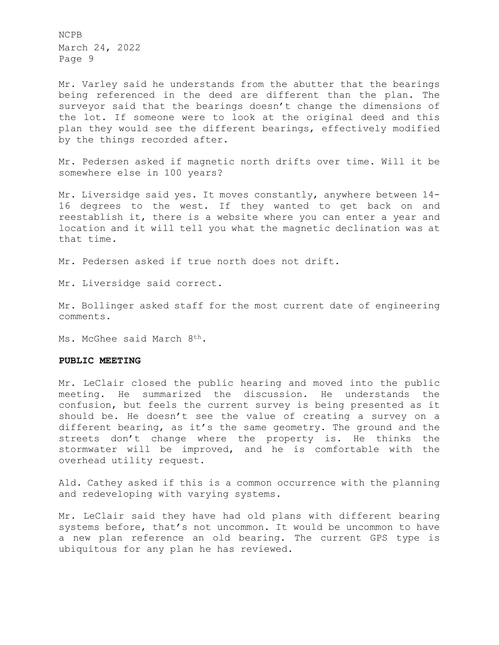Mr. Varley said he understands from the abutter that the bearings being referenced in the deed are different than the plan. The surveyor said that the bearings doesn't change the dimensions of the lot. If someone were to look at the original deed and this plan they would see the different bearings, effectively modified by the things recorded after.

Mr. Pedersen asked if magnetic north drifts over time. Will it be somewhere else in 100 years?

Mr. Liversidge said yes. It moves constantly, anywhere between 14- 16 degrees to the west. If they wanted to get back on and reestablish it, there is a website where you can enter a year and location and it will tell you what the magnetic declination was at that time.

Mr. Pedersen asked if true north does not drift.

Mr. Liversidge said correct.

Mr. Bollinger asked staff for the most current date of engineering comments.

Ms. McGhee said March 8<sup>th</sup>.

## **PUBLIC MEETING**

Mr. LeClair closed the public hearing and moved into the public meeting. He summarized the discussion. He understands the confusion, but feels the current survey is being presented as it should be. He doesn't see the value of creating a survey on a different bearing, as it's the same geometry. The ground and the streets don't change where the property is. He thinks the stormwater will be improved, and he is comfortable with the overhead utility request.

Ald. Cathey asked if this is a common occurrence with the planning and redeveloping with varying systems.

Mr. LeClair said they have had old plans with different bearing systems before, that's not uncommon. It would be uncommon to have a new plan reference an old bearing. The current GPS type is ubiquitous for any plan he has reviewed.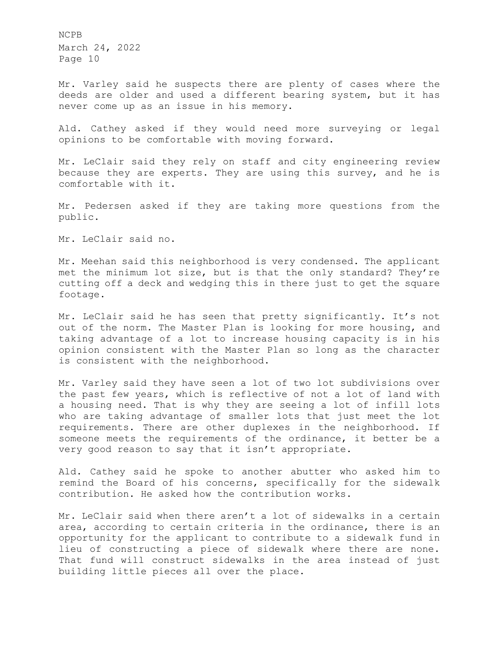Mr. Varley said he suspects there are plenty of cases where the deeds are older and used a different bearing system, but it has never come up as an issue in his memory.

Ald. Cathey asked if they would need more surveying or legal opinions to be comfortable with moving forward.

Mr. LeClair said they rely on staff and city engineering review because they are experts. They are using this survey, and he is comfortable with it.

Mr. Pedersen asked if they are taking more questions from the public.

Mr. LeClair said no.

Mr. Meehan said this neighborhood is very condensed. The applicant met the minimum lot size, but is that the only standard? They're cutting off a deck and wedging this in there just to get the square footage.

Mr. LeClair said he has seen that pretty significantly. It's not out of the norm. The Master Plan is looking for more housing, and taking advantage of a lot to increase housing capacity is in his opinion consistent with the Master Plan so long as the character is consistent with the neighborhood.

Mr. Varley said they have seen a lot of two lot subdivisions over the past few years, which is reflective of not a lot of land with a housing need. That is why they are seeing a lot of infill lots who are taking advantage of smaller lots that just meet the lot requirements. There are other duplexes in the neighborhood. If someone meets the requirements of the ordinance, it better be a very good reason to say that it isn't appropriate.

Ald. Cathey said he spoke to another abutter who asked him to remind the Board of his concerns, specifically for the sidewalk contribution. He asked how the contribution works.

Mr. LeClair said when there aren't a lot of sidewalks in a certain area, according to certain criteria in the ordinance, there is an opportunity for the applicant to contribute to a sidewalk fund in lieu of constructing a piece of sidewalk where there are none. That fund will construct sidewalks in the area instead of just building little pieces all over the place.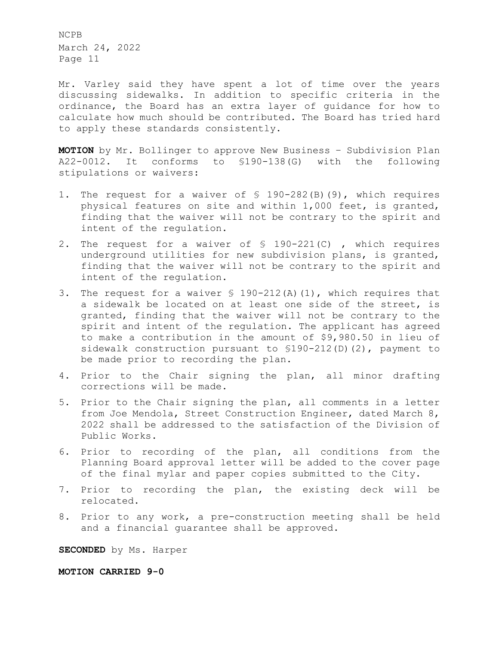Mr. Varley said they have spent a lot of time over the years discussing sidewalks. In addition to specific criteria in the ordinance, the Board has an extra layer of guidance for how to calculate how much should be contributed. The Board has tried hard to apply these standards consistently.

**MOTION** by Mr. Bollinger to approve New Business – Subdivision Plan A22-0012. It conforms to §190-138(G) with the following stipulations or waivers:

- 1. The request for a waiver of § 190-282(B)(9), which requires physical features on site and within 1,000 feet, is granted, finding that the waiver will not be contrary to the spirit and intent of the regulation.
- 2. The request for a waiver of § 190-221(C) , which requires underground utilities for new subdivision plans, is granted, finding that the waiver will not be contrary to the spirit and intent of the regulation.
- 3. The request for a waiver § 190-212(A)(1), which requires that a sidewalk be located on at least one side of the street, is granted, finding that the waiver will not be contrary to the spirit and intent of the regulation. The applicant has agreed to make a contribution in the amount of \$9,980.50 in lieu of sidewalk construction pursuant to §190-212(D)(2), payment to be made prior to recording the plan.
- 4. Prior to the Chair signing the plan, all minor drafting corrections will be made.
- 5. Prior to the Chair signing the plan, all comments in a letter from Joe Mendola, Street Construction Engineer, dated March 8, 2022 shall be addressed to the satisfaction of the Division of Public Works.
- 6. Prior to recording of the plan, all conditions from the Planning Board approval letter will be added to the cover page of the final mylar and paper copies submitted to the City.
- 7. Prior to recording the plan, the existing deck will be relocated.
- 8. Prior to any work, a pre-construction meeting shall be held and a financial guarantee shall be approved.

**SECONDED** by Ms. Harper

**MOTION CARRIED 9-0**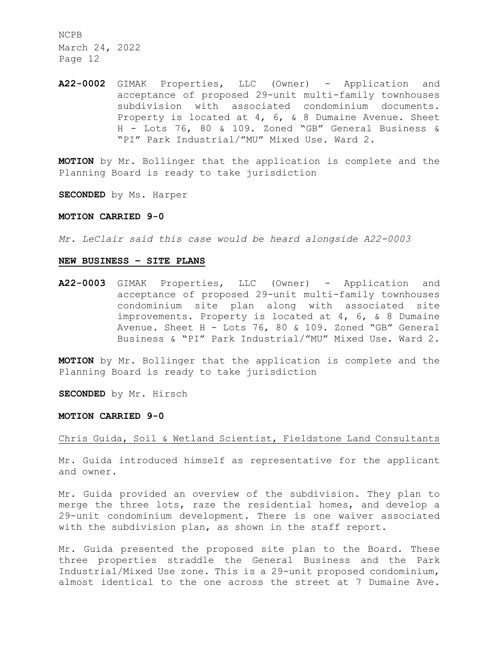**A22-0002** GIMAK Properties, LLC (Owner) - Application and acceptance of proposed 29-unit multi-family townhouses subdivision with associated condominium documents. Property is located at 4, 6, & 8 Dumaine Avenue. Sheet H - Lots 76, 80 & 109. Zoned "GB" General Business & "PI" Park Industrial/"MU" Mixed Use. Ward 2.

**MOTION** by Mr. Bollinger that the application is complete and the Planning Board is ready to take jurisdiction

**SECONDED** by Ms. Harper

## **MOTION CARRIED 9-0**

*Mr. LeClair said this case would be heard alongside A22-0003* 

#### **NEW BUSINESS – SITE PLANS**

**A22-0003** GIMAK Properties, LLC (Owner) - Application and acceptance of proposed 29-unit multi-family townhouses condominium site plan along with associated site improvements. Property is located at 4, 6, & 8 Dumaine Avenue. Sheet H - Lots 76, 80 & 109. Zoned "GB" General Business & "PI" Park Industrial/"MU" Mixed Use. Ward 2.

**MOTION** by Mr. Bollinger that the application is complete and the Planning Board is ready to take jurisdiction

**SECONDED** by Mr. Hirsch

## **MOTION CARRIED 9-0**

Chris Guida, Soil & Wetland Scientist, Fieldstone Land Consultants

Mr. Guida introduced himself as representative for the applicant and owner.

Mr. Guida provided an overview of the subdivision. They plan to merge the three lots, raze the residential homes, and develop a 29-unit condominium development. There is one waiver associated with the subdivision plan, as shown in the staff report.

Mr. Guida presented the proposed site plan to the Board. These three properties straddle the General Business and the Park Industrial/Mixed Use zone. This is a 29-unit proposed condominium, almost identical to the one across the street at 7 Dumaine Ave.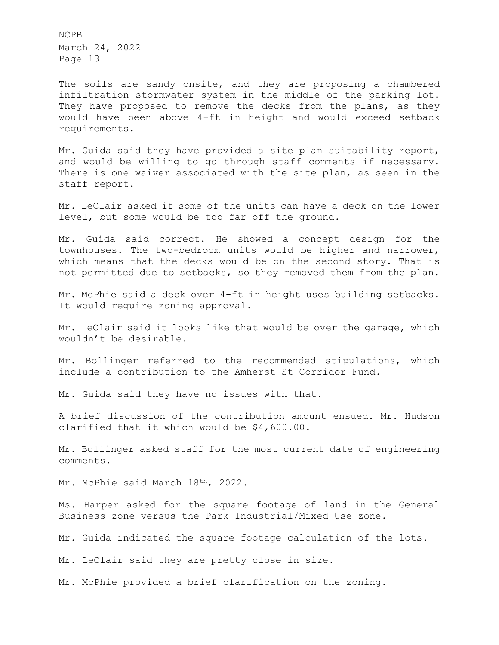The soils are sandy onsite, and they are proposing a chambered infiltration stormwater system in the middle of the parking lot. They have proposed to remove the decks from the plans, as they would have been above 4-ft in height and would exceed setback requirements.

Mr. Guida said they have provided a site plan suitability report, and would be willing to go through staff comments if necessary. There is one waiver associated with the site plan, as seen in the staff report.

Mr. LeClair asked if some of the units can have a deck on the lower level, but some would be too far off the ground.

Mr. Guida said correct. He showed a concept design for the townhouses. The two-bedroom units would be higher and narrower, which means that the decks would be on the second story. That is not permitted due to setbacks, so they removed them from the plan.

Mr. McPhie said a deck over 4-ft in height uses building setbacks. It would require zoning approval.

Mr. LeClair said it looks like that would be over the garage, which wouldn't be desirable.

Mr. Bollinger referred to the recommended stipulations, which include a contribution to the Amherst St Corridor Fund.

Mr. Guida said they have no issues with that.

A brief discussion of the contribution amount ensued. Mr. Hudson clarified that it which would be \$4,600.00.

Mr. Bollinger asked staff for the most current date of engineering comments.

Mr. McPhie said March 18th, 2022.

Ms. Harper asked for the square footage of land in the General Business zone versus the Park Industrial/Mixed Use zone.

Mr. Guida indicated the square footage calculation of the lots.

Mr. LeClair said they are pretty close in size.

Mr. McPhie provided a brief clarification on the zoning.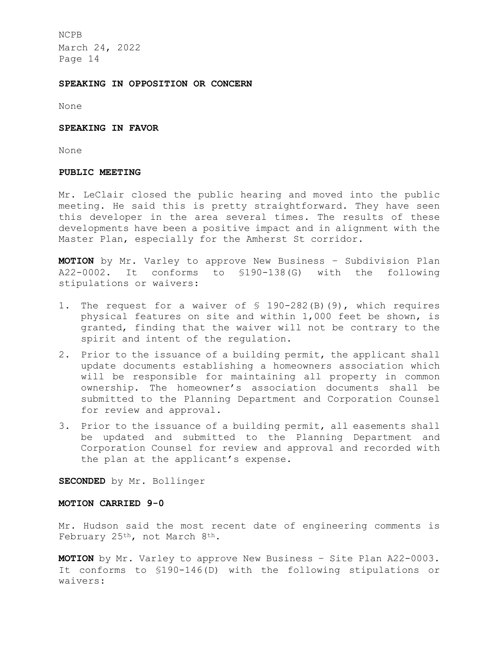#### **SPEAKING IN OPPOSITION OR CONCERN**

None

#### **SPEAKING IN FAVOR**

None

#### **PUBLIC MEETING**

Mr. LeClair closed the public hearing and moved into the public meeting. He said this is pretty straightforward. They have seen this developer in the area several times. The results of these developments have been a positive impact and in alignment with the Master Plan, especially for the Amherst St corridor.

**MOTION** by Mr. Varley to approve New Business – Subdivision Plan A22-0002. It conforms to §190-138(G) with the following stipulations or waivers:

- 1. The request for a waiver of § 190-282(B)(9), which requires physical features on site and within 1,000 feet be shown, is granted, finding that the waiver will not be contrary to the spirit and intent of the regulation.
- 2. Prior to the issuance of a building permit, the applicant shall update documents establishing a homeowners association which will be responsible for maintaining all property in common ownership. The homeowner's association documents shall be submitted to the Planning Department and Corporation Counsel for review and approval.
- 3. Prior to the issuance of a building permit, all easements shall be updated and submitted to the Planning Department and Corporation Counsel for review and approval and recorded with the plan at the applicant's expense.

**SECONDED** by Mr. Bollinger

#### **MOTION CARRIED 9-0**

Mr. Hudson said the most recent date of engineering comments is February 25th, not March 8th.

**MOTION** by Mr. Varley to approve New Business – Site Plan A22-0003. It conforms to §190-146(D) with the following stipulations or waivers: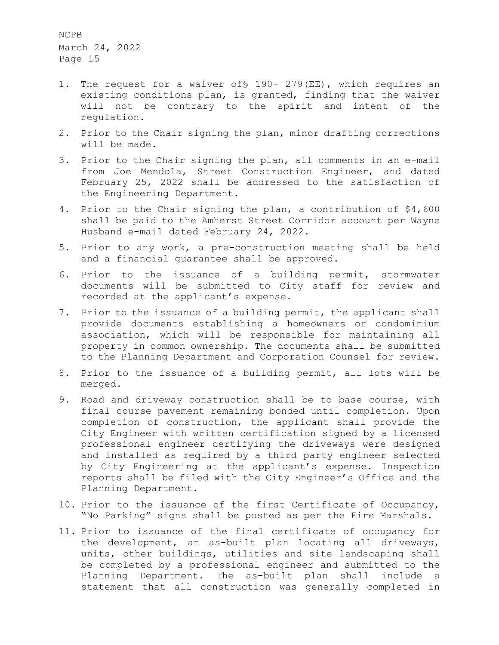- 1. The request for a waiver of§ 190- 279(EE), which requires an existing conditions plan, is granted, finding that the waiver will not be contrary to the spirit and intent of the regulation.
- 2. Prior to the Chair signing the plan, minor drafting corrections will be made.
- 3. Prior to the Chair signing the plan, all comments in an e-mail from Joe Mendola, Street Construction Engineer, and dated February 25, 2022 shall be addressed to the satisfaction of the Engineering Department.
- 4. Prior to the Chair signing the plan, a contribution of \$4,600 shall be paid to the Amherst Street Corridor account per Wayne Husband e-mail dated February 24, 2022.
- 5. Prior to any work, a pre-construction meeting shall be held and a financial guarantee shall be approved.
- 6. Prior to the issuance of a building permit, stormwater documents will be submitted to City staff for review and recorded at the applicant's expense.
- 7. Prior to the issuance of a building permit, the applicant shall provide documents establishing a homeowners or condominium association, which will be responsible for maintaining all property in common ownership. The documents shall be submitted to the Planning Department and Corporation Counsel for review.
- 8. Prior to the issuance of a building permit, all lots will be merged.
- 9. Road and driveway construction shall be to base course, with final course pavement remaining bonded until completion. Upon completion of construction, the applicant shall provide the City Engineer with written certification signed by a licensed professional engineer certifying the driveways were designed and installed as required by a third party engineer selected by City Engineering at the applicant's expense. Inspection reports shall be filed with the City Engineer's Office and the Planning Department.
- 10. Prior to the issuance of the first Certificate of Occupancy, "No Parking" signs shall be posted as per the Fire Marshals.
- 11. Prior to issuance of the final certificate of occupancy for the development, an as-built plan locating all driveways, units, other buildings, utilities and site landscaping shall be completed by a professional engineer and submitted to the Planning Department. The as-built plan shall include a statement that all construction was generally completed in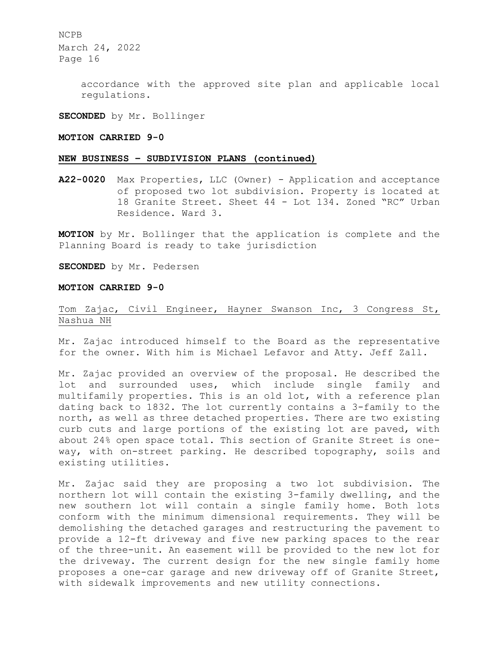> accordance with the approved site plan and applicable local regulations.

**SECONDED** by Mr. Bollinger

#### **MOTION CARRIED 9-0**

### **NEW BUSINESS – SUBDIVISION PLANS (continued)**

**A22-0020** Max Properties, LLC (Owner) - Application and acceptance of proposed two lot subdivision. Property is located at 18 Granite Street. Sheet 44 - Lot 134. Zoned "RC" Urban Residence. Ward 3.

**MOTION** by Mr. Bollinger that the application is complete and the Planning Board is ready to take jurisdiction

**SECONDED** by Mr. Pedersen

#### **MOTION CARRIED 9-0**

# Tom Zajac, Civil Engineer, Hayner Swanson Inc, 3 Congress St, Nashua NH

Mr. Zajac introduced himself to the Board as the representative for the owner. With him is Michael Lefavor and Atty. Jeff Zall.

Mr. Zajac provided an overview of the proposal. He described the lot and surrounded uses, which include single family and multifamily properties. This is an old lot, with a reference plan dating back to 1832. The lot currently contains a 3-family to the north, as well as three detached properties. There are two existing curb cuts and large portions of the existing lot are paved, with about 24% open space total. This section of Granite Street is oneway, with on-street parking. He described topography, soils and existing utilities.

Mr. Zajac said they are proposing a two lot subdivision. The northern lot will contain the existing 3-family dwelling, and the new southern lot will contain a single family home. Both lots conform with the minimum dimensional requirements. They will be demolishing the detached garages and restructuring the pavement to provide a 12-ft driveway and five new parking spaces to the rear of the three-unit. An easement will be provided to the new lot for the driveway. The current design for the new single family home proposes a one-car garage and new driveway off of Granite Street, with sidewalk improvements and new utility connections.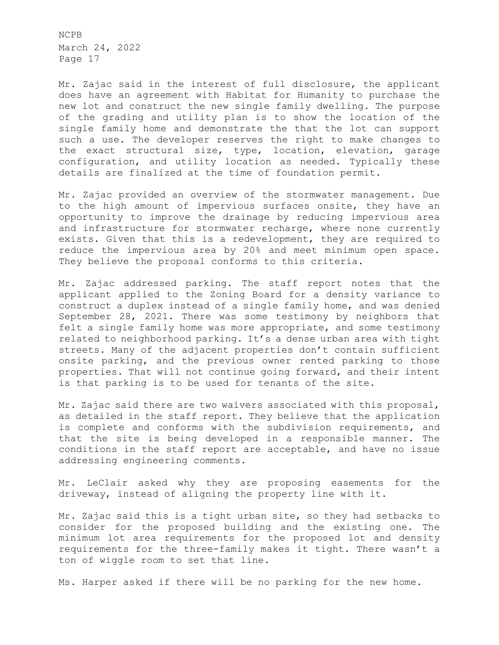Mr. Zajac said in the interest of full disclosure, the applicant does have an agreement with Habitat for Humanity to purchase the new lot and construct the new single family dwelling. The purpose of the grading and utility plan is to show the location of the single family home and demonstrate the that the lot can support such a use. The developer reserves the right to make changes to the exact structural size, type, location, elevation, garage configuration, and utility location as needed. Typically these details are finalized at the time of foundation permit.

Mr. Zajac provided an overview of the stormwater management. Due to the high amount of impervious surfaces onsite, they have an opportunity to improve the drainage by reducing impervious area and infrastructure for stormwater recharge, where none currently exists. Given that this is a redevelopment, they are required to reduce the impervious area by 20% and meet minimum open space. They believe the proposal conforms to this criteria.

Mr. Zajac addressed parking. The staff report notes that the applicant applied to the Zoning Board for a density variance to construct a duplex instead of a single family home, and was denied September 28, 2021. There was some testimony by neighbors that felt a single family home was more appropriate, and some testimony related to neighborhood parking. It's a dense urban area with tight streets. Many of the adjacent properties don't contain sufficient onsite parking, and the previous owner rented parking to those properties. That will not continue going forward, and their intent is that parking is to be used for tenants of the site.

Mr. Zajac said there are two waivers associated with this proposal, as detailed in the staff report. They believe that the application is complete and conforms with the subdivision requirements, and that the site is being developed in a responsible manner. The conditions in the staff report are acceptable, and have no issue addressing engineering comments.

Mr. LeClair asked why they are proposing easements for the driveway, instead of aligning the property line with it.

Mr. Zajac said this is a tight urban site, so they had setbacks to consider for the proposed building and the existing one. The minimum lot area requirements for the proposed lot and density requirements for the three-family makes it tight. There wasn't a ton of wiggle room to set that line.

Ms. Harper asked if there will be no parking for the new home.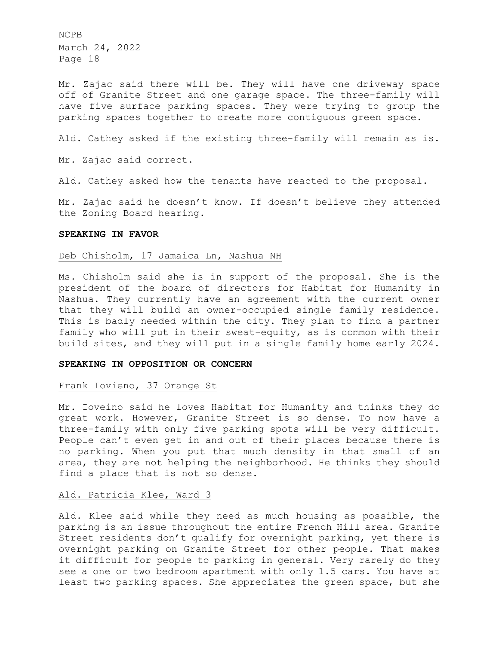Mr. Zajac said there will be. They will have one driveway space off of Granite Street and one garage space. The three-family will have five surface parking spaces. They were trying to group the parking spaces together to create more contiguous green space.

Ald. Cathey asked if the existing three-family will remain as is.

Mr. Zajac said correct.

Ald. Cathey asked how the tenants have reacted to the proposal.

Mr. Zajac said he doesn't know. If doesn't believe they attended the Zoning Board hearing.

### **SPEAKING IN FAVOR**

## Deb Chisholm, 17 Jamaica Ln, Nashua NH

Ms. Chisholm said she is in support of the proposal. She is the president of the board of directors for Habitat for Humanity in Nashua. They currently have an agreement with the current owner that they will build an owner-occupied single family residence. This is badly needed within the city. They plan to find a partner family who will put in their sweat-equity, as is common with their build sites, and they will put in a single family home early 2024.

### **SPEAKING IN OPPOSITION OR CONCERN**

## Frank Iovieno, 37 Orange St

Mr. Ioveino said he loves Habitat for Humanity and thinks they do great work. However, Granite Street is so dense. To now have a three-family with only five parking spots will be very difficult. People can't even get in and out of their places because there is no parking. When you put that much density in that small of an area, they are not helping the neighborhood. He thinks they should find a place that is not so dense.

# Ald. Patricia Klee, Ward 3

Ald. Klee said while they need as much housing as possible, the parking is an issue throughout the entire French Hill area. Granite Street residents don't qualify for overnight parking, yet there is overnight parking on Granite Street for other people. That makes it difficult for people to parking in general. Very rarely do they see a one or two bedroom apartment with only 1.5 cars. You have at least two parking spaces. She appreciates the green space, but she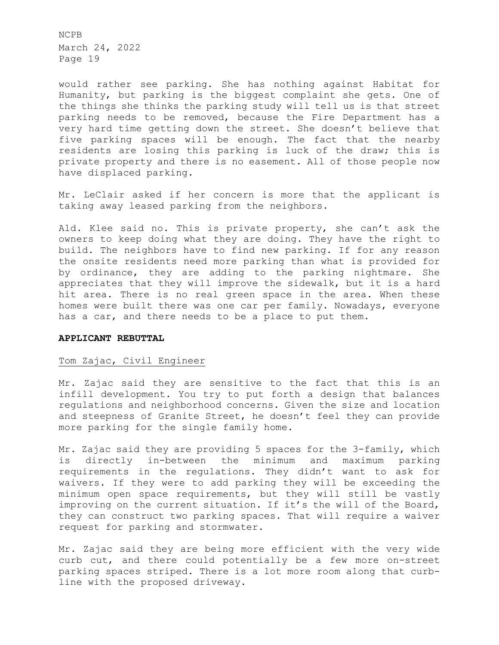would rather see parking. She has nothing against Habitat for Humanity, but parking is the biggest complaint she gets. One of the things she thinks the parking study will tell us is that street parking needs to be removed, because the Fire Department has a very hard time getting down the street. She doesn't believe that five parking spaces will be enough. The fact that the nearby residents are losing this parking is luck of the draw; this is private property and there is no easement. All of those people now have displaced parking.

Mr. LeClair asked if her concern is more that the applicant is taking away leased parking from the neighbors.

Ald. Klee said no. This is private property, she can't ask the owners to keep doing what they are doing. They have the right to build. The neighbors have to find new parking. If for any reason the onsite residents need more parking than what is provided for by ordinance, they are adding to the parking nightmare. She appreciates that they will improve the sidewalk, but it is a hard hit area. There is no real green space in the area. When these homes were built there was one car per family. Nowadays, everyone has a car, and there needs to be a place to put them.

#### **APPLICANT REBUTTAL**

### Tom Zajac, Civil Engineer

Mr. Zajac said they are sensitive to the fact that this is an infill development. You try to put forth a design that balances regulations and neighborhood concerns. Given the size and location and steepness of Granite Street, he doesn't feel they can provide more parking for the single family home.

Mr. Zajac said they are providing 5 spaces for the 3-family, which is directly in-between the minimum and maximum parking requirements in the regulations. They didn't want to ask for waivers. If they were to add parking they will be exceeding the minimum open space requirements, but they will still be vastly improving on the current situation. If it's the will of the Board, they can construct two parking spaces. That will require a waiver request for parking and stormwater.

Mr. Zajac said they are being more efficient with the very wide curb cut, and there could potentially be a few more on-street parking spaces striped. There is a lot more room along that curbline with the proposed driveway.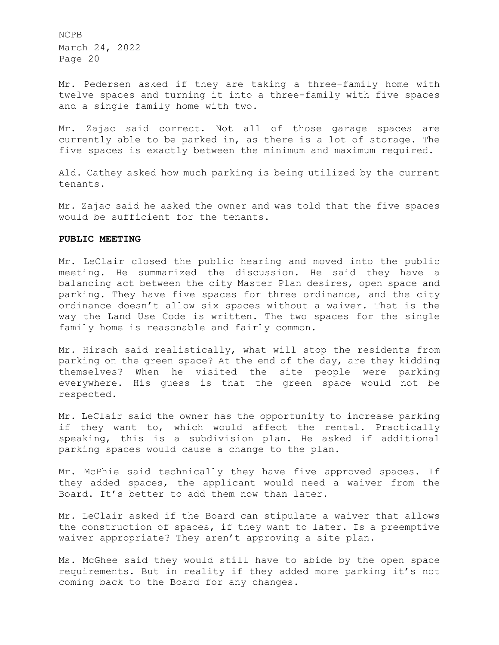Mr. Pedersen asked if they are taking a three-family home with twelve spaces and turning it into a three-family with five spaces and a single family home with two.

Mr. Zajac said correct. Not all of those garage spaces are currently able to be parked in, as there is a lot of storage. The five spaces is exactly between the minimum and maximum required.

Ald. Cathey asked how much parking is being utilized by the current tenants.

Mr. Zajac said he asked the owner and was told that the five spaces would be sufficient for the tenants.

#### **PUBLIC MEETING**

Mr. LeClair closed the public hearing and moved into the public meeting. He summarized the discussion. He said they have a balancing act between the city Master Plan desires, open space and parking. They have five spaces for three ordinance, and the city ordinance doesn't allow six spaces without a waiver. That is the way the Land Use Code is written. The two spaces for the single family home is reasonable and fairly common.

Mr. Hirsch said realistically, what will stop the residents from parking on the green space? At the end of the day, are they kidding themselves? When he visited the site people were parking everywhere. His guess is that the green space would not be respected.

Mr. LeClair said the owner has the opportunity to increase parking if they want to, which would affect the rental. Practically speaking, this is a subdivision plan. He asked if additional parking spaces would cause a change to the plan.

Mr. McPhie said technically they have five approved spaces. If they added spaces, the applicant would need a waiver from the Board. It's better to add them now than later.

Mr. LeClair asked if the Board can stipulate a waiver that allows the construction of spaces, if they want to later. Is a preemptive waiver appropriate? They aren't approving a site plan.

Ms. McGhee said they would still have to abide by the open space requirements. But in reality if they added more parking it's not coming back to the Board for any changes.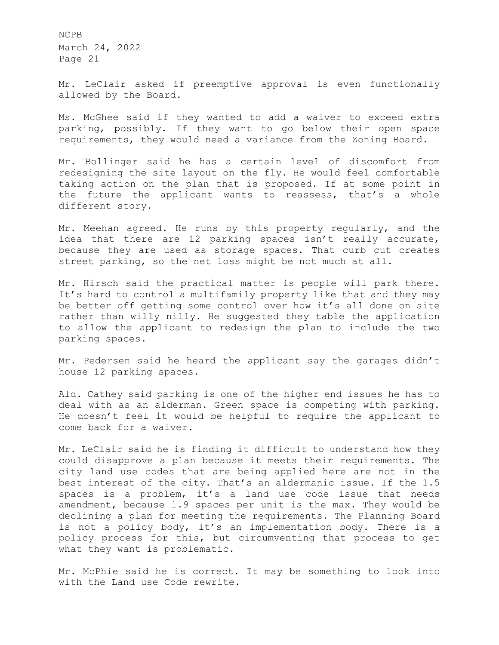Mr. LeClair asked if preemptive approval is even functionally allowed by the Board.

Ms. McGhee said if they wanted to add a waiver to exceed extra parking, possibly. If they want to go below their open space requirements, they would need a variance from the Zoning Board.

Mr. Bollinger said he has a certain level of discomfort from redesigning the site layout on the fly. He would feel comfortable taking action on the plan that is proposed. If at some point in the future the applicant wants to reassess, that's a whole different story.

Mr. Meehan agreed. He runs by this property regularly, and the idea that there are 12 parking spaces isn't really accurate, because they are used as storage spaces. That curb cut creates street parking, so the net loss might be not much at all.

Mr. Hirsch said the practical matter is people will park there. It's hard to control a multifamily property like that and they may be better off getting some control over how it's all done on site rather than willy nilly. He suggested they table the application to allow the applicant to redesign the plan to include the two parking spaces.

Mr. Pedersen said he heard the applicant say the garages didn't house 12 parking spaces.

Ald. Cathey said parking is one of the higher end issues he has to deal with as an alderman. Green space is competing with parking. He doesn't feel it would be helpful to require the applicant to come back for a waiver.

Mr. LeClair said he is finding it difficult to understand how they could disapprove a plan because it meets their requirements. The city land use codes that are being applied here are not in the best interest of the city. That's an aldermanic issue. If the 1.5 spaces is a problem, it's a land use code issue that needs amendment, because 1.9 spaces per unit is the max. They would be declining a plan for meeting the requirements. The Planning Board is not a policy body, it's an implementation body. There is a policy process for this, but circumventing that process to get what they want is problematic.

Mr. McPhie said he is correct. It may be something to look into with the Land use Code rewrite.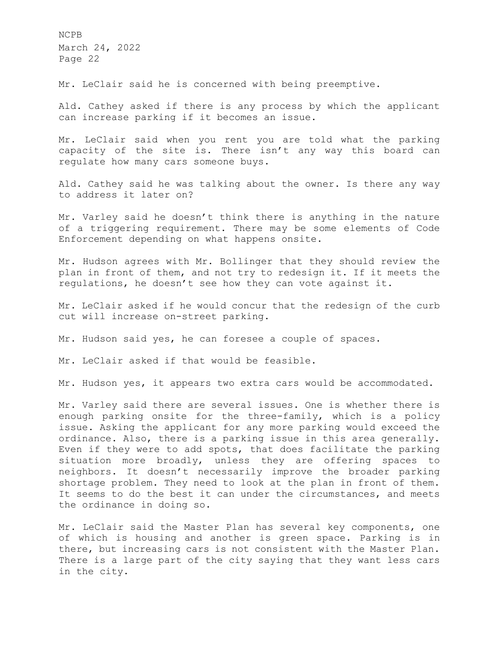Mr. LeClair said he is concerned with being preemptive.

Ald. Cathey asked if there is any process by which the applicant can increase parking if it becomes an issue.

Mr. LeClair said when you rent you are told what the parking capacity of the site is. There isn't any way this board can regulate how many cars someone buys.

Ald. Cathey said he was talking about the owner. Is there any way to address it later on?

Mr. Varley said he doesn't think there is anything in the nature of a triggering requirement. There may be some elements of Code Enforcement depending on what happens onsite.

Mr. Hudson agrees with Mr. Bollinger that they should review the plan in front of them, and not try to redesign it. If it meets the regulations, he doesn't see how they can vote against it.

Mr. LeClair asked if he would concur that the redesign of the curb cut will increase on-street parking.

Mr. Hudson said yes, he can foresee a couple of spaces.

Mr. LeClair asked if that would be feasible.

Mr. Hudson yes, it appears two extra cars would be accommodated.

Mr. Varley said there are several issues. One is whether there is enough parking onsite for the three-family, which is a policy issue. Asking the applicant for any more parking would exceed the ordinance. Also, there is a parking issue in this area generally. Even if they were to add spots, that does facilitate the parking situation more broadly, unless they are offering spaces to neighbors. It doesn't necessarily improve the broader parking shortage problem. They need to look at the plan in front of them. It seems to do the best it can under the circumstances, and meets the ordinance in doing so.

Mr. LeClair said the Master Plan has several key components, one of which is housing and another is green space. Parking is in there, but increasing cars is not consistent with the Master Plan. There is a large part of the city saying that they want less cars in the city.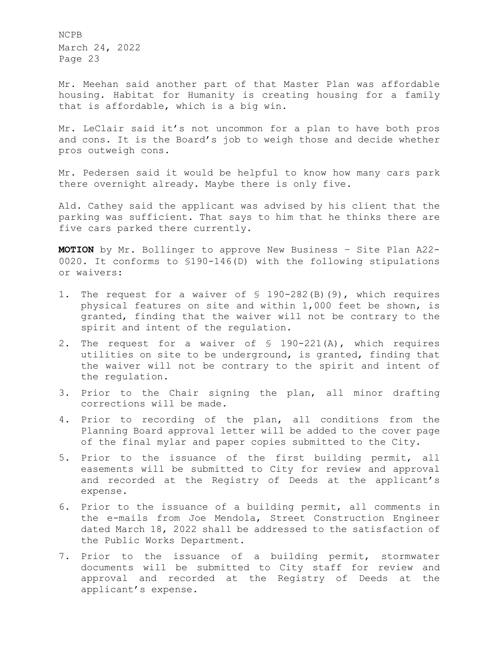Mr. Meehan said another part of that Master Plan was affordable housing. Habitat for Humanity is creating housing for a family that is affordable, which is a big win.

Mr. LeClair said it's not uncommon for a plan to have both pros and cons. It is the Board's job to weigh those and decide whether pros outweigh cons.

Mr. Pedersen said it would be helpful to know how many cars park there overnight already. Maybe there is only five.

Ald. Cathey said the applicant was advised by his client that the parking was sufficient. That says to him that he thinks there are five cars parked there currently.

**MOTION** by Mr. Bollinger to approve New Business – Site Plan A22- 0020. It conforms to §190-146(D) with the following stipulations or waivers:

- 1. The request for a waiver of § 190-282(B)(9), which requires physical features on site and within 1,000 feet be shown, is granted, finding that the waiver will not be contrary to the spirit and intent of the regulation.
- 2. The request for a waiver of § 190-221(A), which requires utilities on site to be underground, is granted, finding that the waiver will not be contrary to the spirit and intent of the regulation.
- 3. Prior to the Chair signing the plan, all minor drafting corrections will be made.
- 4. Prior to recording of the plan, all conditions from the Planning Board approval letter will be added to the cover page of the final mylar and paper copies submitted to the City.
- 5. Prior to the issuance of the first building permit, all easements will be submitted to City for review and approval and recorded at the Registry of Deeds at the applicant's expense.
- 6. Prior to the issuance of a building permit, all comments in the e-mails from Joe Mendola, Street Construction Engineer dated March 18, 2022 shall be addressed to the satisfaction of the Public Works Department.
- 7. Prior to the issuance of a building permit, stormwater documents will be submitted to City staff for review and approval and recorded at the Registry of Deeds at the applicant's expense.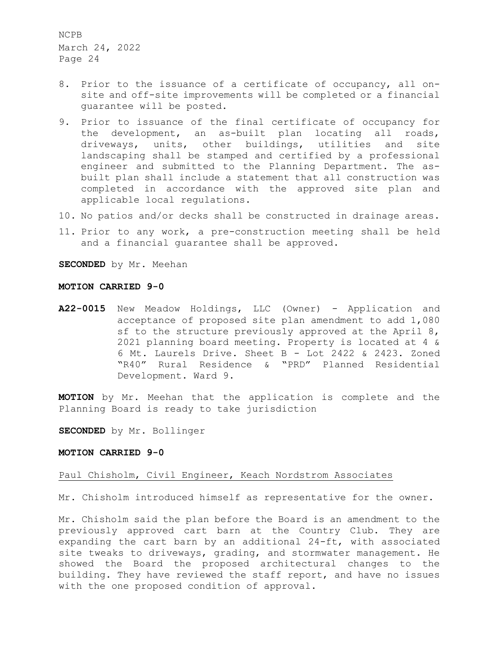- 8. Prior to the issuance of a certificate of occupancy, all onsite and off-site improvements will be completed or a financial guarantee will be posted.
- 9. Prior to issuance of the final certificate of occupancy for the development, an as-built plan locating all roads, driveways, units, other buildings, utilities and site landscaping shall be stamped and certified by a professional engineer and submitted to the Planning Department. The asbuilt plan shall include a statement that all construction was completed in accordance with the approved site plan and applicable local regulations.
- 10. No patios and/or decks shall be constructed in drainage areas.
- 11. Prior to any work, a pre-construction meeting shall be held and a financial guarantee shall be approved.

**SECONDED** by Mr. Meehan

## **MOTION CARRIED 9-0**

**A22-0015** New Meadow Holdings, LLC (Owner) - Application and acceptance of proposed site plan amendment to add 1,080 sf to the structure previously approved at the April 8, 2021 planning board meeting. Property is located at 4 & 6 Mt. Laurels Drive. Sheet B - Lot 2422 & 2423. Zoned "R40" Rural Residence & "PRD" Planned Residential Development. Ward 9.

**MOTION** by Mr. Meehan that the application is complete and the Planning Board is ready to take jurisdiction

**SECONDED** by Mr. Bollinger

## **MOTION CARRIED 9-0**

## Paul Chisholm, Civil Engineer, Keach Nordstrom Associates

Mr. Chisholm introduced himself as representative for the owner.

Mr. Chisholm said the plan before the Board is an amendment to the previously approved cart barn at the Country Club. They are expanding the cart barn by an additional 24-ft, with associated site tweaks to driveways, grading, and stormwater management. He showed the Board the proposed architectural changes to the building. They have reviewed the staff report, and have no issues with the one proposed condition of approval.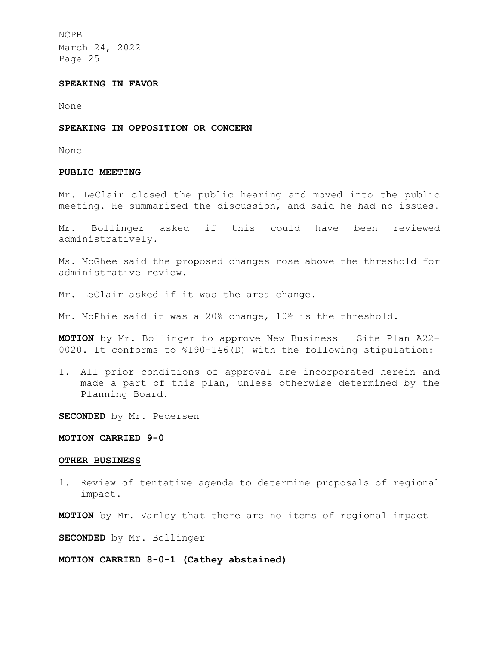#### **SPEAKING IN FAVOR**

None

### **SPEAKING IN OPPOSITION OR CONCERN**

None

### **PUBLIC MEETING**

Mr. LeClair closed the public hearing and moved into the public meeting. He summarized the discussion, and said he had no issues.

Mr. Bollinger asked if this could have been reviewed administratively.

Ms. McGhee said the proposed changes rose above the threshold for administrative review.

Mr. LeClair asked if it was the area change.

Mr. McPhie said it was a 20% change, 10% is the threshold.

**MOTION** by Mr. Bollinger to approve New Business – Site Plan A22- 0020. It conforms to §190-146(D) with the following stipulation:

1. All prior conditions of approval are incorporated herein and made a part of this plan, unless otherwise determined by the Planning Board.

**SECONDED** by Mr. Pedersen

### **MOTION CARRIED 9-0**

#### **OTHER BUSINESS**

1. Review of tentative agenda to determine proposals of regional impact.

**MOTION** by Mr. Varley that there are no items of regional impact

**SECONDED** by Mr. Bollinger

**MOTION CARRIED 8-0-1 (Cathey abstained)**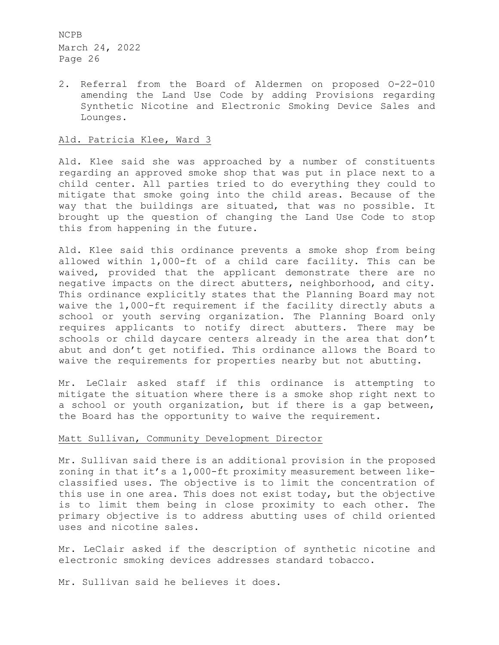2. Referral from the Board of Aldermen on proposed O-22-010 amending the Land Use Code by adding Provisions regarding Synthetic Nicotine and Electronic Smoking Device Sales and Lounges.

# Ald. Patricia Klee, Ward 3

Ald. Klee said she was approached by a number of constituents regarding an approved smoke shop that was put in place next to a child center. All parties tried to do everything they could to mitigate that smoke going into the child areas. Because of the way that the buildings are situated, that was no possible. It brought up the question of changing the Land Use Code to stop this from happening in the future.

Ald. Klee said this ordinance prevents a smoke shop from being allowed within 1,000-ft of a child care facility. This can be waived, provided that the applicant demonstrate there are no negative impacts on the direct abutters, neighborhood, and city. This ordinance explicitly states that the Planning Board may not waive the 1,000-ft requirement if the facility directly abuts a school or youth serving organization. The Planning Board only requires applicants to notify direct abutters. There may be schools or child daycare centers already in the area that don't abut and don't get notified. This ordinance allows the Board to waive the requirements for properties nearby but not abutting.

Mr. LeClair asked staff if this ordinance is attempting to mitigate the situation where there is a smoke shop right next to a school or youth organization, but if there is a gap between, the Board has the opportunity to waive the requirement.

## Matt Sullivan, Community Development Director

Mr. Sullivan said there is an additional provision in the proposed zoning in that it's a 1,000-ft proximity measurement between likeclassified uses. The objective is to limit the concentration of this use in one area. This does not exist today, but the objective is to limit them being in close proximity to each other. The primary objective is to address abutting uses of child oriented uses and nicotine sales.

Mr. LeClair asked if the description of synthetic nicotine and electronic smoking devices addresses standard tobacco.

Mr. Sullivan said he believes it does.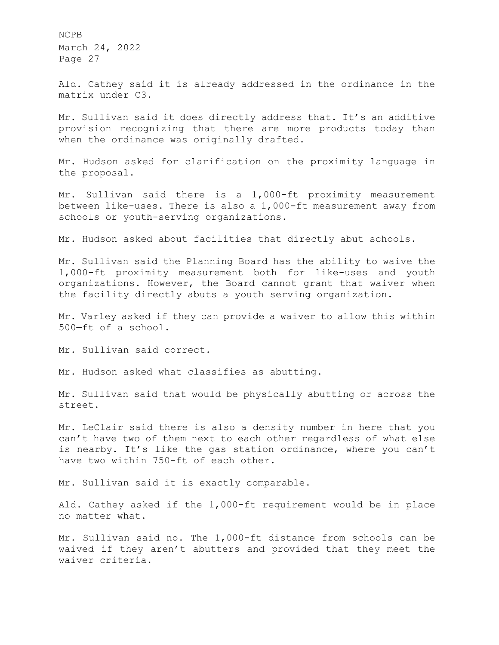Ald. Cathey said it is already addressed in the ordinance in the matrix under C3.

Mr. Sullivan said it does directly address that. It's an additive provision recognizing that there are more products today than when the ordinance was originally drafted.

Mr. Hudson asked for clarification on the proximity language in the proposal.

Mr. Sullivan said there is a 1,000-ft proximity measurement between like-uses. There is also a 1,000-ft measurement away from schools or youth-serving organizations.

Mr. Hudson asked about facilities that directly abut schools.

Mr. Sullivan said the Planning Board has the ability to waive the 1,000-ft proximity measurement both for like-uses and youth organizations. However, the Board cannot grant that waiver when the facility directly abuts a youth serving organization.

Mr. Varley asked if they can provide a waiver to allow this within 500—ft of a school.

Mr. Sullivan said correct.

Mr. Hudson asked what classifies as abutting.

Mr. Sullivan said that would be physically abutting or across the street.

Mr. LeClair said there is also a density number in here that you can't have two of them next to each other regardless of what else is nearby. It's like the gas station ordinance, where you can't have two within 750-ft of each other.

Mr. Sullivan said it is exactly comparable.

Ald. Cathey asked if the 1,000-ft requirement would be in place no matter what.

Mr. Sullivan said no. The 1,000-ft distance from schools can be waived if they aren't abutters and provided that they meet the waiver criteria.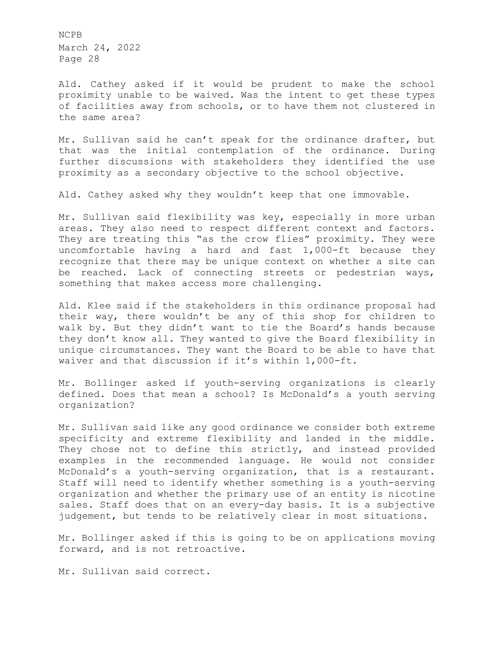Ald. Cathey asked if it would be prudent to make the school proximity unable to be waived. Was the intent to get these types of facilities away from schools, or to have them not clustered in the same area?

Mr. Sullivan said he can't speak for the ordinance drafter, but that was the initial contemplation of the ordinance. During further discussions with stakeholders they identified the use proximity as a secondary objective to the school objective.

Ald. Cathey asked why they wouldn't keep that one immovable.

Mr. Sullivan said flexibility was key, especially in more urban areas. They also need to respect different context and factors. They are treating this "as the crow flies" proximity. They were uncomfortable having a hard and fast 1,000-ft because they recognize that there may be unique context on whether a site can be reached. Lack of connecting streets or pedestrian ways, something that makes access more challenging.

Ald. Klee said if the stakeholders in this ordinance proposal had their way, there wouldn't be any of this shop for children to walk by. But they didn't want to tie the Board's hands because they don't know all. They wanted to give the Board flexibility in unique circumstances. They want the Board to be able to have that waiver and that discussion if it's within 1,000-ft.

Mr. Bollinger asked if youth-serving organizations is clearly defined. Does that mean a school? Is McDonald's a youth serving organization?

Mr. Sullivan said like any good ordinance we consider both extreme specificity and extreme flexibility and landed in the middle. They chose not to define this strictly, and instead provided examples in the recommended language. He would not consider McDonald's a youth-serving organization, that is a restaurant. Staff will need to identify whether something is a youth-serving organization and whether the primary use of an entity is nicotine sales. Staff does that on an every-day basis. It is a subjective judgement, but tends to be relatively clear in most situations.

Mr. Bollinger asked if this is going to be on applications moving forward, and is not retroactive.

Mr. Sullivan said correct.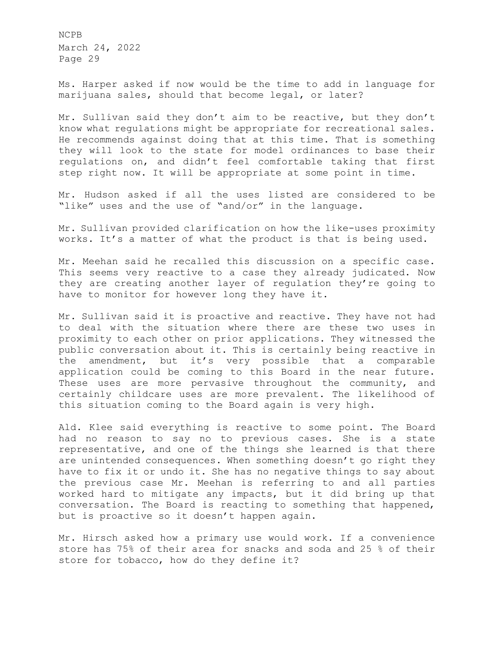Ms. Harper asked if now would be the time to add in language for marijuana sales, should that become legal, or later?

Mr. Sullivan said they don't aim to be reactive, but they don't know what regulations might be appropriate for recreational sales. He recommends against doing that at this time. That is something they will look to the state for model ordinances to base their regulations on, and didn't feel comfortable taking that first step right now. It will be appropriate at some point in time.

Mr. Hudson asked if all the uses listed are considered to be "like" uses and the use of "and/or" in the language.

Mr. Sullivan provided clarification on how the like-uses proximity works. It's a matter of what the product is that is being used.

Mr. Meehan said he recalled this discussion on a specific case. This seems very reactive to a case they already judicated. Now they are creating another layer of regulation they're going to have to monitor for however long they have it.

Mr. Sullivan said it is proactive and reactive. They have not had to deal with the situation where there are these two uses in proximity to each other on prior applications. They witnessed the public conversation about it. This is certainly being reactive in the amendment, but it's very possible that a comparable application could be coming to this Board in the near future. These uses are more pervasive throughout the community, and certainly childcare uses are more prevalent. The likelihood of this situation coming to the Board again is very high.

Ald. Klee said everything is reactive to some point. The Board had no reason to say no to previous cases. She is a state representative, and one of the things she learned is that there are unintended consequences. When something doesn't go right they have to fix it or undo it. She has no negative things to say about the previous case Mr. Meehan is referring to and all parties worked hard to mitigate any impacts, but it did bring up that conversation. The Board is reacting to something that happened, but is proactive so it doesn't happen again.

Mr. Hirsch asked how a primary use would work. If a convenience store has 75% of their area for snacks and soda and 25 % of their store for tobacco, how do they define it?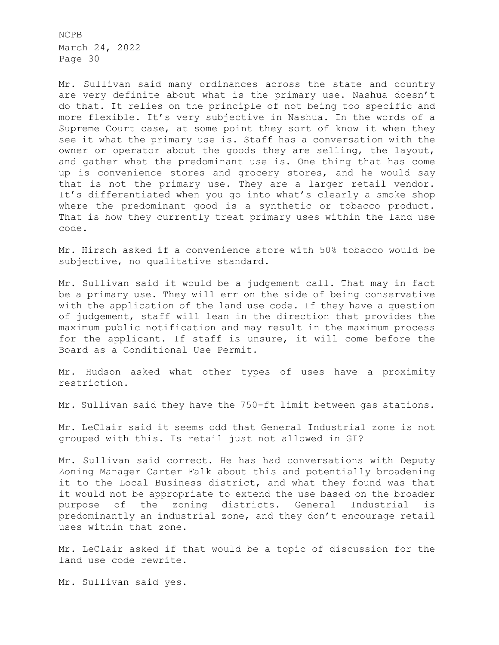Mr. Sullivan said many ordinances across the state and country are very definite about what is the primary use. Nashua doesn't do that. It relies on the principle of not being too specific and more flexible. It's very subjective in Nashua. In the words of a Supreme Court case, at some point they sort of know it when they see it what the primary use is. Staff has a conversation with the owner or operator about the goods they are selling, the layout, and gather what the predominant use is. One thing that has come up is convenience stores and grocery stores, and he would say that is not the primary use. They are a larger retail vendor. It's differentiated when you go into what's clearly a smoke shop where the predominant good is a synthetic or tobacco product. That is how they currently treat primary uses within the land use code.

Mr. Hirsch asked if a convenience store with 50% tobacco would be subjective, no qualitative standard.

Mr. Sullivan said it would be a judgement call. That may in fact be a primary use. They will err on the side of being conservative with the application of the land use code. If they have a question of judgement, staff will lean in the direction that provides the maximum public notification and may result in the maximum process for the applicant. If staff is unsure, it will come before the Board as a Conditional Use Permit.

Mr. Hudson asked what other types of uses have a proximity restriction.

Mr. Sullivan said they have the 750-ft limit between gas stations.

Mr. LeClair said it seems odd that General Industrial zone is not grouped with this. Is retail just not allowed in GI?

Mr. Sullivan said correct. He has had conversations with Deputy Zoning Manager Carter Falk about this and potentially broadening it to the Local Business district, and what they found was that it would not be appropriate to extend the use based on the broader purpose of the zoning districts. General Industrial is predominantly an industrial zone, and they don't encourage retail uses within that zone.

Mr. LeClair asked if that would be a topic of discussion for the land use code rewrite.

Mr. Sullivan said yes.